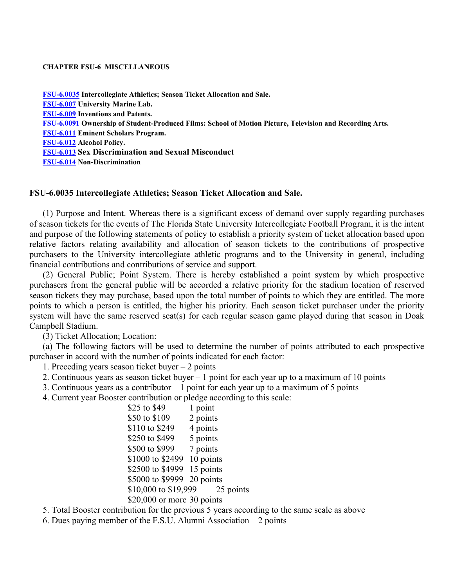#### **CHAPTER FSU-6 MISCELLANEOUS**

**[FSU-6.0035](#page-0-0) Intercollegiate Athletics; Season Ticket Allocation and Sale. [FSU-6.007](#page-3-0) University Marine Lab. [FSU-6.009](#page-4-0) Inventions and Patents. [FSU-6.0091](#page-6-0) Ownership of Student-Produced Films: School of Motion Picture, Television and Recording Arts. [FSU-6.011](#page-8-0) Eminent Scholars Program. [FSU-6.012](#page-10-0) Alcohol Policy. FSU-6.013 Sex Discrimination and Sexual Misconduct [FSU-6.014](#page-16-0) Non-Discrimination**

### <span id="page-0-0"></span>**FSU-6.0035 Intercollegiate Athletics; Season Ticket Allocation and Sale.**

(1) Purpose and Intent. Whereas there is a significant excess of demand over supply regarding purchases of season tickets for the events of The Florida State University Intercollegiate Football Program, it is the intent and purpose of the following statements of policy to establish a priority system of ticket allocation based upon relative factors relating availability and allocation of season tickets to the contributions of prospective purchasers to the University intercollegiate athletic programs and to the University in general, including financial contributions and contributions of service and support.

(2) General Public; Point System. There is hereby established a point system by which prospective purchasers from the general public will be accorded a relative priority for the stadium location of reserved season tickets they may purchase, based upon the total number of points to which they are entitled. The more points to which a person is entitled, the higher his priority. Each season ticket purchaser under the priority system will have the same reserved seat(s) for each regular season game played during that season in Doak Campbell Stadium.

(3) Ticket Allocation; Location:

(a) The following factors will be used to determine the number of points attributed to each prospective purchaser in accord with the number of points indicated for each factor:

1. Preceding years season ticket buyer – 2 points

2. Continuous years as season ticket buyer – 1 point for each year up to a maximum of 10 points

3. Continuous years as a contributor – 1 point for each year up to a maximum of 5 points

4. Current year Booster contribution or pledge according to this scale:

| 1 point                           |
|-----------------------------------|
| 2 points                          |
| 4 points                          |
| 5 points                          |
| 7 points                          |
| 10 points                         |
| \$2500 to \$4999 15 points        |
| \$5000 to \$9999 20 points        |
| \$10,000 to \$19,999<br>25 points |
| $$20,000$ or more 30 points       |
|                                   |

5. Total Booster contribution for the previous 5 years according to the same scale as above

6. Dues paying member of the F.S.U. Alumni Association – 2 points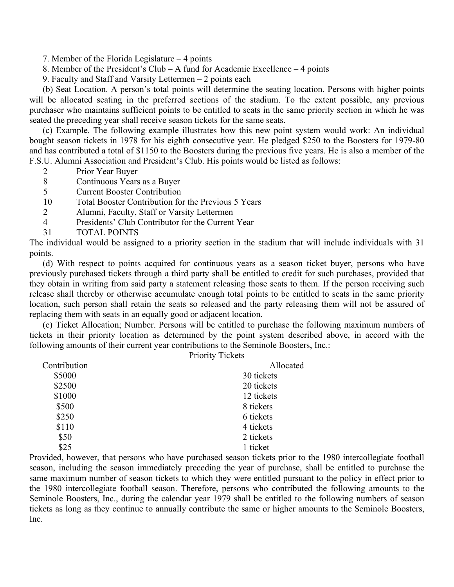7. Member of the Florida Legislature – 4 points

- 8. Member of the President's Club A fund for Academic Excellence 4 points
- 9. Faculty and Staff and Varsity Lettermen 2 points each

(b) Seat Location. A person's total points will determine the seating location. Persons with higher points will be allocated seating in the preferred sections of the stadium. To the extent possible, any previous purchaser who maintains sufficient points to be entitled to seats in the same priority section in which he was seated the preceding year shall receive season tickets for the same seats.

(c) Example. The following example illustrates how this new point system would work: An individual bought season tickets in 1978 for his eighth consecutive year. He pledged \$250 to the Boosters for 1979-80 and has contributed a total of \$1150 to the Boosters during the previous five years. He is also a member of the F.S.U. Alumni Association and President's Club. His points would be listed as follows:

- 2 Prior Year Buyer
- 8 Continuous Years as a Buyer
- 5 Current Booster Contribution
- 10 Total Booster Contribution for the Previous 5 Years
- 2 Alumni, Faculty, Staff or Varsity Lettermen
- 4 Presidents' Club Contributor for the Current Year
- 31 TOTAL POINTS

The individual would be assigned to a priority section in the stadium that will include individuals with 31 points.

(d) With respect to points acquired for continuous years as a season ticket buyer, persons who have previously purchased tickets through a third party shall be entitled to credit for such purchases, provided that they obtain in writing from said party a statement releasing those seats to them. If the person receiving such release shall thereby or otherwise accumulate enough total points to be entitled to seats in the same priority location, such person shall retain the seats so released and the party releasing them will not be assured of replacing them with seats in an equally good or adjacent location.

(e) Ticket Allocation; Number. Persons will be entitled to purchase the following maximum numbers of tickets in their priority location as determined by the point system described above, in accord with the following amounts of their current year contributions to the Seminole Boosters, Inc.: Priority Tickets

|              | THUIRY TRUNG |
|--------------|--------------|
| Contribution | Allocated    |
| \$5000       | 30 tickets   |
| \$2500       | 20 tickets   |
| \$1000       | 12 tickets   |
| \$500        | 8 tickets    |
| \$250        | 6 tickets    |
| \$110        | 4 tickets    |
| \$50         | 2 tickets    |
| \$25         | 1 ticket     |
|              |              |

Provided, however, that persons who have purchased season tickets prior to the 1980 intercollegiate football season, including the season immediately preceding the year of purchase, shall be entitled to purchase the same maximum number of season tickets to which they were entitled pursuant to the policy in effect prior to the 1980 intercollegiate football season. Therefore, persons who contributed the following amounts to the Seminole Boosters, Inc., during the calendar year 1979 shall be entitled to the following numbers of season tickets as long as they continue to annually contribute the same or higher amounts to the Seminole Boosters, Inc.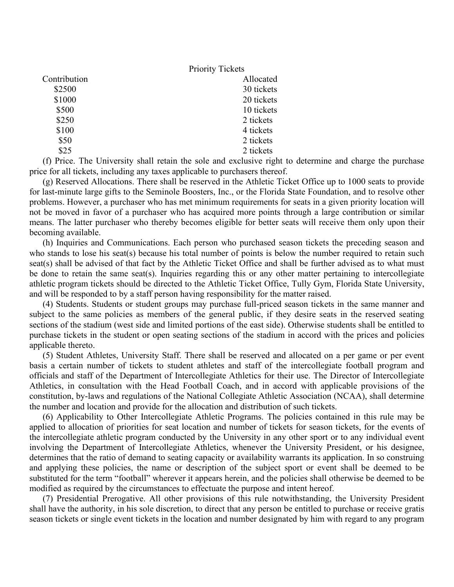|              | <b>Priority Tickets</b> |
|--------------|-------------------------|
| Contribution | Allocated               |
| \$2500       | 30 tickets              |
| \$1000       | 20 tickets              |
| \$500        | 10 tickets              |
| \$250        | 2 tickets               |
| \$100        | 4 tickets               |
| \$50         | 2 tickets               |
| \$25         | 2 tickets               |

(f) Price. The University shall retain the sole and exclusive right to determine and charge the purchase price for all tickets, including any taxes applicable to purchasers thereof.

(g) Reserved Allocations. There shall be reserved in the Athletic Ticket Office up to 1000 seats to provide for last-minute large gifts to the Seminole Boosters, Inc., or the Florida State Foundation, and to resolve other problems. However, a purchaser who has met minimum requirements for seats in a given priority location will not be moved in favor of a purchaser who has acquired more points through a large contribution or similar means. The latter purchaser who thereby becomes eligible for better seats will receive them only upon their becoming available.

(h) Inquiries and Communications. Each person who purchased season tickets the preceding season and who stands to lose his seat(s) because his total number of points is below the number required to retain such seat(s) shall be advised of that fact by the Athletic Ticket Office and shall be further advised as to what must be done to retain the same seat(s). Inquiries regarding this or any other matter pertaining to intercollegiate athletic program tickets should be directed to the Athletic Ticket Office, Tully Gym, Florida State University, and will be responded to by a staff person having responsibility for the matter raised.

(4) Students. Students or student groups may purchase full-priced season tickets in the same manner and subject to the same policies as members of the general public, if they desire seats in the reserved seating sections of the stadium (west side and limited portions of the east side). Otherwise students shall be entitled to purchase tickets in the student or open seating sections of the stadium in accord with the prices and policies applicable thereto.

(5) Student Athletes, University Staff. There shall be reserved and allocated on a per game or per event basis a certain number of tickets to student athletes and staff of the intercollegiate football program and officials and staff of the Department of Intercollegiate Athletics for their use. The Director of Intercollegiate Athletics, in consultation with the Head Football Coach, and in accord with applicable provisions of the constitution, by-laws and regulations of the National Collegiate Athletic Association (NCAA), shall determine the number and location and provide for the allocation and distribution of such tickets.

(6) Applicability to Other Intercollegiate Athletic Programs. The policies contained in this rule may be applied to allocation of priorities for seat location and number of tickets for season tickets, for the events of the intercollegiate athletic program conducted by the University in any other sport or to any individual event involving the Department of Intercollegiate Athletics, whenever the University President, or his designee, determines that the ratio of demand to seating capacity or availability warrants its application. In so construing and applying these policies, the name or description of the subject sport or event shall be deemed to be substituted for the term "football" wherever it appears herein, and the policies shall otherwise be deemed to be modified as required by the circumstances to effectuate the purpose and intent hereof.

(7) Presidential Prerogative. All other provisions of this rule notwithstanding, the University President shall have the authority, in his sole discretion, to direct that any person be entitled to purchase or receive gratis season tickets or single event tickets in the location and number designated by him with regard to any program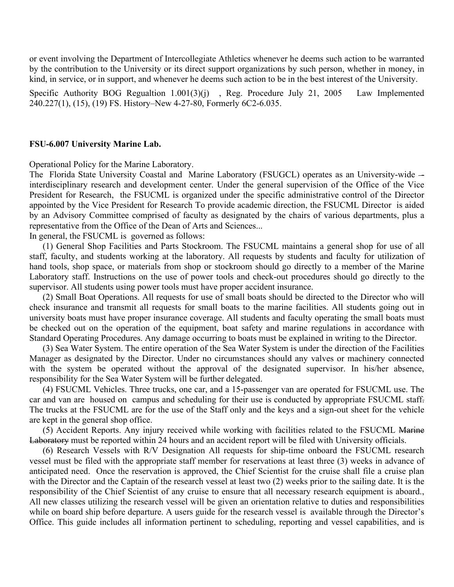or event involving the Department of Intercollegiate Athletics whenever he deems such action to be warranted by the contribution to the University or its direct support organizations by such person, whether in money, in kind, in service, or in support, and whenever he deems such action to be in the best interest of the University.

Specific Authority BOG Regualtion 1.001(3)(j), Reg. Procedure July 21, 2005 Law Implemented 240.227(1), (15), (19) FS. History–New 4-27-80, Formerly 6C2-6.035.

#### <span id="page-3-0"></span>**FSU-6.007 University Marine Lab.**

Operational Policy for the Marine Laboratory.

The Florida State University Coastal and Marine Laboratory (FSUGCL) operates as an University-wide interdisciplinary research and development center. Under the general supervision of the Office of the Vice President for Research, the FSUCML is organized under the specific administrative control of the Director appointed by the Vice President for Research To provide academic direction, the FSUCML Director is aided by an Advisory Committee comprised of faculty as designated by the chairs of various departments, plus a representative from the Office of the Dean of Arts and Sciences...

In general, the FSUCML is governed as follows:

(1) General Shop Facilities and Parts Stockroom. The FSUCML maintains a general shop for use of all staff, faculty, and students working at the laboratory. All requests by students and faculty for utilization of hand tools, shop space, or materials from shop or stockroom should go directly to a member of the Marine Laboratory staff. Instructions on the use of power tools and check-out procedures should go directly to the supervisor. All students using power tools must have proper accident insurance.

(2) Small Boat Operations. All requests for use of small boats should be directed to the Director who will check insurance and transmit all requests for small boats to the marine facilities. All students going out in university boats must have proper insurance coverage. All students and faculty operating the small boats must be checked out on the operation of the equipment, boat safety and marine regulations in accordance with Standard Operating Procedures. Any damage occurring to boats must be explained in writing to the Director.

(3) Sea Water System. The entire operation of the Sea Water System is under the direction of the Facilities Manager as designated by the Director. Under no circumstances should any valves or machinery connected with the system be operated without the approval of the designated supervisor. In his/her absence, responsibility for the Sea Water System will be further delegated.

(4) FSUCML Vehicles. Three trucks, one car, and a 15-passenger van are operated for FSUCML use. The car and van are housed on campus and scheduling for their use is conducted by appropriate FSUCML staff. The trucks at the FSUCML are for the use of the Staff only and the keys and a sign-out sheet for the vehicle are kept in the general shop office.

(5) Accident Reports. Any injury received while working with facilities related to the FSUCML Marine Laboratory must be reported within 24 hours and an accident report will be filed with University officials.

(6) Research Vessels with R/V Designation All requests for ship-time onboard the FSUCML research vessel must be filed with the appropriate staff member for reservations at least three (3) weeks in advance of anticipated need. Once the reservation is approved, the Chief Scientist for the cruise shall file a cruise plan with the Director and the Captain of the research vessel at least two (2) weeks prior to the sailing date. It is the responsibility of the Chief Scientist of any cruise to ensure that all necessary research equipment is aboard., All new classes utilizing the research vessel will be given an orientation relative to duties and responsibilities while on board ship before departure. A users guide for the research vessel is available through the Director's Office. This guide includes all information pertinent to scheduling, reporting and vessel capabilities, and is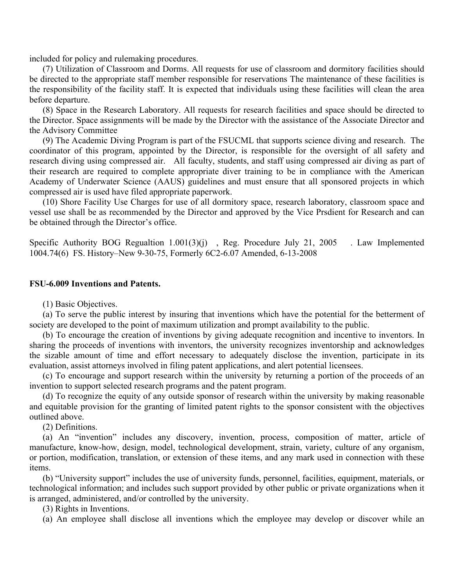included for policy and rulemaking procedures.

(7) Utilization of Classroom and Dorms. All requests for use of classroom and dormitory facilities should be directed to the appropriate staff member responsible for reservations The maintenance of these facilities is the responsibility of the facility staff. It is expected that individuals using these facilities will clean the area before departure.

(8) Space in the Research Laboratory. All requests for research facilities and space should be directed to the Director. Space assignments will be made by the Director with the assistance of the Associate Director and the Advisory Committee

(9) The Academic Diving Program is part of the FSUCML that supports science diving and research. The coordinator of this program, appointed by the Director, is responsible for the oversight of all safety and research diving using compressed air. All faculty, students, and staff using compressed air diving as part of their research are required to complete appropriate diver training to be in compliance with the American Academy of Underwater Science (AAUS) guidelines and must ensure that all sponsored projects in which compressed air is used have filed appropriate paperwork.

(10) Shore Facility Use Charges for use of all dormitory space, research laboratory, classroom space and vessel use shall be as recommended by the Director and approved by the Vice Prsdient for Research and can be obtained through the Director's office.

<span id="page-4-0"></span>Specific Authority BOG Regualtion 1.001(3)(j), Reg. Procedure July 21, 2005 . Law Implemented 1004.74(6) FS. History–New 9-30-75, Formerly 6C2-6.07 Amended, 6-13-2008

### **FSU-6.009 Inventions and Patents.**

(1) Basic Objectives.

(a) To serve the public interest by insuring that inventions which have the potential for the betterment of society are developed to the point of maximum utilization and prompt availability to the public.

(b) To encourage the creation of inventions by giving adequate recognition and incentive to inventors. In sharing the proceeds of inventions with inventors, the university recognizes inventorship and acknowledges the sizable amount of time and effort necessary to adequately disclose the invention, participate in its evaluation, assist attorneys involved in filing patent applications, and alert potential licensees.

(c) To encourage and support research within the university by returning a portion of the proceeds of an invention to support selected research programs and the patent program.

(d) To recognize the equity of any outside sponsor of research within the university by making reasonable and equitable provision for the granting of limited patent rights to the sponsor consistent with the objectives outlined above.

(2) Definitions.

(a) An "invention" includes any discovery, invention, process, composition of matter, article of manufacture, know-how, design, model, technological development, strain, variety, culture of any organism, or portion, modification, translation, or extension of these items, and any mark used in connection with these items.

(b) "University support" includes the use of university funds, personnel, facilities, equipment, materials, or technological information; and includes such support provided by other public or private organizations when it is arranged, administered, and/or controlled by the university.

(3) Rights in Inventions.

(a) An employee shall disclose all inventions which the employee may develop or discover while an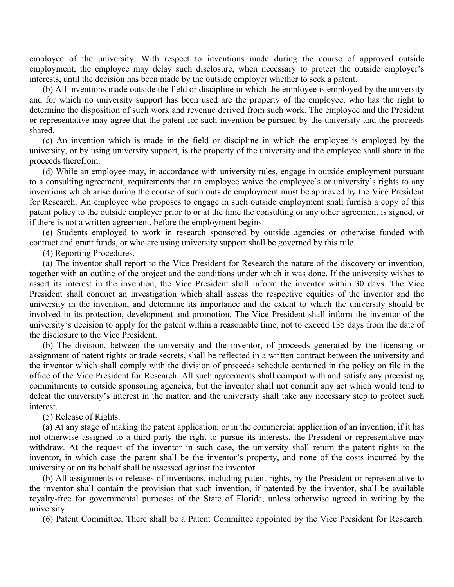employee of the university. With respect to inventions made during the course of approved outside employment, the employee may delay such disclosure, when necessary to protect the outside employer's interests, until the decision has been made by the outside employer whether to seek a patent.

(b) All inventions made outside the field or discipline in which the employee is employed by the university and for which no university support has been used are the property of the employee, who has the right to determine the disposition of such work and revenue derived from such work. The employee and the President or representative may agree that the patent for such invention be pursued by the university and the proceeds shared.

(c) An invention which is made in the field or discipline in which the employee is employed by the university, or by using university support, is the property of the university and the employee shall share in the proceeds therefrom.

(d) While an employee may, in accordance with university rules, engage in outside employment pursuant to a consulting agreement, requirements that an employee waive the employee's or university's rights to any inventions which arise during the course of such outside employment must be approved by the Vice President for Research. An employee who proposes to engage in such outside employment shall furnish a copy of this patent policy to the outside employer prior to or at the time the consulting or any other agreement is signed, or if there is not a written agreement, before the employment begins.

(e) Students employed to work in research sponsored by outside agencies or otherwise funded with contract and grant funds, or who are using university support shall be governed by this rule.

(4) Reporting Procedures.

(a) The inventor shall report to the Vice President for Research the nature of the discovery or invention, together with an outline of the project and the conditions under which it was done. If the university wishes to assert its interest in the invention, the Vice President shall inform the inventor within 30 days. The Vice President shall conduct an investigation which shall assess the respective equities of the inventor and the university in the invention, and determine its importance and the extent to which the university should be involved in its protection, development and promotion. The Vice President shall inform the inventor of the university's decision to apply for the patent within a reasonable time, not to exceed 135 days from the date of the disclosure to the Vice President.

(b) The division, between the university and the inventor, of proceeds generated by the licensing or assignment of patent rights or trade secrets, shall be reflected in a written contract between the university and the inventor which shall comply with the division of proceeds schedule contained in the policy on file in the office of the Vice President for Research. All such agreements shall comport with and satisfy any preexisting commitments to outside sponsoring agencies, but the inventor shall not commit any act which would tend to defeat the university's interest in the matter, and the university shall take any necessary step to protect such interest.

(5) Release of Rights.

(a) At any stage of making the patent application, or in the commercial application of an invention, if it has not otherwise assigned to a third party the right to pursue its interests, the President or representative may withdraw. At the request of the inventor in such case, the university shall return the patent rights to the inventor, in which case the patent shall be the inventor's property, and none of the costs incurred by the university or on its behalf shall be assessed against the inventor.

(b) All assignments or releases of inventions, including patent rights, by the President or representative to the inventor shall contain the provision that such invention, if patented by the inventor, shall be available royalty-free for governmental purposes of the State of Florida, unless otherwise agreed in writing by the university.

(6) Patent Committee. There shall be a Patent Committee appointed by the Vice President for Research.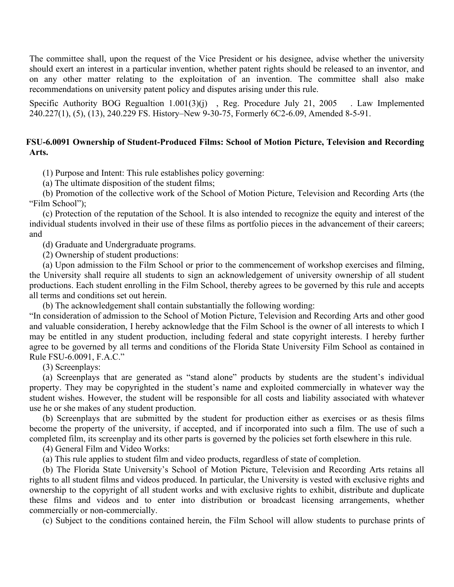The committee shall, upon the request of the Vice President or his designee, advise whether the university should exert an interest in a particular invention, whether patent rights should be released to an inventor, and on any other matter relating to the exploitation of an invention. The committee shall also make recommendations on university patent policy and disputes arising under this rule.

Specific Authority BOG Regualtion 1.001(3)(j), Reg. Procedure July 21, 2005 . Law Implemented 240.227(1), (5), (13), 240.229 FS. History–New 9-30-75, Formerly 6C2-6.09, Amended 8-5-91.

## <span id="page-6-0"></span>**FSU-6.0091 Ownership of Student-Produced Films: School of Motion Picture, Television and Recording Arts.**

(1) Purpose and Intent: This rule establishes policy governing:

(a) The ultimate disposition of the student films;

(b) Promotion of the collective work of the School of Motion Picture, Television and Recording Arts (the "Film School");

(c) Protection of the reputation of the School. It is also intended to recognize the equity and interest of the individual students involved in their use of these films as portfolio pieces in the advancement of their careers; and

(d) Graduate and Undergraduate programs.

(2) Ownership of student productions:

(a) Upon admission to the Film School or prior to the commencement of workshop exercises and filming, the University shall require all students to sign an acknowledgement of university ownership of all student productions. Each student enrolling in the Film School, thereby agrees to be governed by this rule and accepts all terms and conditions set out herein.

(b) The acknowledgement shall contain substantially the following wording:

"In consideration of admission to the School of Motion Picture, Television and Recording Arts and other good and valuable consideration, I hereby acknowledge that the Film School is the owner of all interests to which I may be entitled in any student production, including federal and state copyright interests. I hereby further agree to be governed by all terms and conditions of the Florida State University Film School as contained in Rule FSU-6.0091, F.A.C."

(3) Screenplays:

(a) Screenplays that are generated as "stand alone" products by students are the student's individual property. They may be copyrighted in the student's name and exploited commercially in whatever way the student wishes. However, the student will be responsible for all costs and liability associated with whatever use he or she makes of any student production.

(b) Screenplays that are submitted by the student for production either as exercises or as thesis films become the property of the university, if accepted, and if incorporated into such a film. The use of such a completed film, its screenplay and its other parts is governed by the policies set forth elsewhere in this rule.

(4) General Film and Video Works:

(a) This rule applies to student film and video products, regardless of state of completion.

(b) The Florida State University's School of Motion Picture, Television and Recording Arts retains all rights to all student films and videos produced. In particular, the University is vested with exclusive rights and ownership to the copyright of all student works and with exclusive rights to exhibit, distribute and duplicate these films and videos and to enter into distribution or broadcast licensing arrangements, whether commercially or non-commercially.

(c) Subject to the conditions contained herein, the Film School will allow students to purchase prints of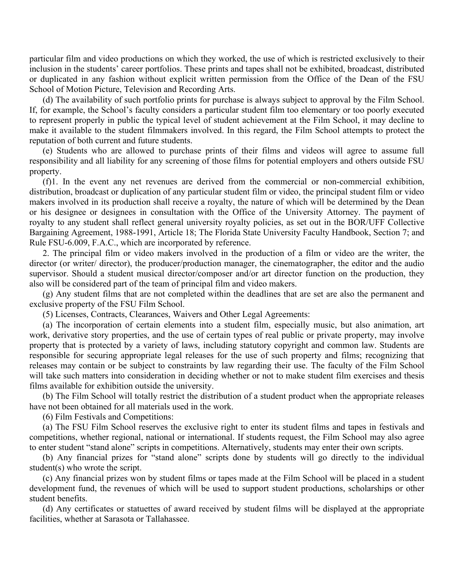particular film and video productions on which they worked, the use of which is restricted exclusively to their inclusion in the students' career portfolios. These prints and tapes shall not be exhibited, broadcast, distributed or duplicated in any fashion without explicit written permission from the Office of the Dean of the FSU School of Motion Picture, Television and Recording Arts.

(d) The availability of such portfolio prints for purchase is always subject to approval by the Film School. If, for example, the School's faculty considers a particular student film too elementary or too poorly executed to represent properly in public the typical level of student achievement at the Film School, it may decline to make it available to the student filmmakers involved. In this regard, the Film School attempts to protect the reputation of both current and future students.

(e) Students who are allowed to purchase prints of their films and videos will agree to assume full responsibility and all liability for any screening of those films for potential employers and others outside FSU property.

(f)1. In the event any net revenues are derived from the commercial or non-commercial exhibition, distribution, broadcast or duplication of any particular student film or video, the principal student film or video makers involved in its production shall receive a royalty, the nature of which will be determined by the Dean or his designee or designees in consultation with the Office of the University Attorney. The payment of royalty to any student shall reflect general university royalty policies, as set out in the BOR/UFF Collective Bargaining Agreement, 1988-1991, Article 18; The Florida State University Faculty Handbook, Section 7; and Rule FSU-6.009, F.A.C., which are incorporated by reference.

2. The principal film or video makers involved in the production of a film or video are the writer, the director (or writer/ director), the producer/production manager, the cinematographer, the editor and the audio supervisor. Should a student musical director/composer and/or art director function on the production, they also will be considered part of the team of principal film and video makers.

(g) Any student films that are not completed within the deadlines that are set are also the permanent and exclusive property of the FSU Film School.

(5) Licenses, Contracts, Clearances, Waivers and Other Legal Agreements:

(a) The incorporation of certain elements into a student film, especially music, but also animation, art work, derivative story properties, and the use of certain types of real public or private property, may involve property that is protected by a variety of laws, including statutory copyright and common law. Students are responsible for securing appropriate legal releases for the use of such property and films; recognizing that releases may contain or be subject to constraints by law regarding their use. The faculty of the Film School will take such matters into consideration in deciding whether or not to make student film exercises and thesis films available for exhibition outside the university.

(b) The Film School will totally restrict the distribution of a student product when the appropriate releases have not been obtained for all materials used in the work.

(6) Film Festivals and Competitions:

(a) The FSU Film School reserves the exclusive right to enter its student films and tapes in festivals and competitions, whether regional, national or international. If students request, the Film School may also agree to enter student "stand alone" scripts in competitions. Alternatively, students may enter their own scripts.

(b) Any financial prizes for "stand alone" scripts done by students will go directly to the individual student(s) who wrote the script.

(c) Any financial prizes won by student films or tapes made at the Film School will be placed in a student development fund, the revenues of which will be used to support student productions, scholarships or other student benefits.

(d) Any certificates or statuettes of award received by student films will be displayed at the appropriate facilities, whether at Sarasota or Tallahassee.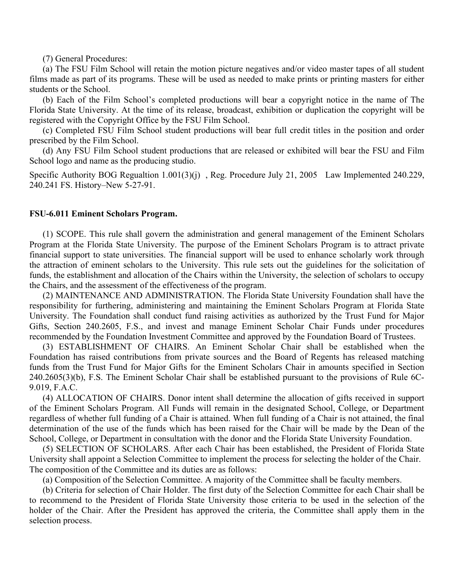(7) General Procedures:

(a) The FSU Film School will retain the motion picture negatives and/or video master tapes of all student films made as part of its programs. These will be used as needed to make prints or printing masters for either students or the School.

(b) Each of the Film School's completed productions will bear a copyright notice in the name of The Florida State University. At the time of its release, broadcast, exhibition or duplication the copyright will be registered with the Copyright Office by the FSU Film School.

(c) Completed FSU Film School student productions will bear full credit titles in the position and order prescribed by the Film School.

(d) Any FSU Film School student productions that are released or exhibited will bear the FSU and Film School logo and name as the producing studio.

Specific Authority BOG Regualtion 1.001(3)(j) , Reg. Procedure July 21, 2005 Law Implemented 240.229, 240.241 FS. History–New 5-27-91.

### <span id="page-8-0"></span>**FSU-6.011 Eminent Scholars Program.**

(1) SCOPE. This rule shall govern the administration and general management of the Eminent Scholars Program at the Florida State University. The purpose of the Eminent Scholars Program is to attract private financial support to state universities. The financial support will be used to enhance scholarly work through the attraction of eminent scholars to the University. This rule sets out the guidelines for the solicitation of funds, the establishment and allocation of the Chairs within the University, the selection of scholars to occupy the Chairs, and the assessment of the effectiveness of the program.

(2) MAINTENANCE AND ADMINISTRATION. The Florida State University Foundation shall have the responsibility for furthering, administering and maintaining the Eminent Scholars Program at Florida State University. The Foundation shall conduct fund raising activities as authorized by the Trust Fund for Major Gifts, Section 240.2605, F.S., and invest and manage Eminent Scholar Chair Funds under procedures recommended by the Foundation Investment Committee and approved by the Foundation Board of Trustees.

(3) ESTABLISHMENT OF CHAIRS. An Eminent Scholar Chair shall be established when the Foundation has raised contributions from private sources and the Board of Regents has released matching funds from the Trust Fund for Major Gifts for the Eminent Scholars Chair in amounts specified in Section 240.2605(3)(b), F.S. The Eminent Scholar Chair shall be established pursuant to the provisions of Rule 6C-9.019, F.A.C.

(4) ALLOCATION OF CHAIRS. Donor intent shall determine the allocation of gifts received in support of the Eminent Scholars Program. All Funds will remain in the designated School, College, or Department regardless of whether full funding of a Chair is attained. When full funding of a Chair is not attained, the final determination of the use of the funds which has been raised for the Chair will be made by the Dean of the School, College, or Department in consultation with the donor and the Florida State University Foundation.

(5) SELECTION OF SCHOLARS. After each Chair has been established, the President of Florida State University shall appoint a Selection Committee to implement the process for selecting the holder of the Chair. The composition of the Committee and its duties are as follows:

(a) Composition of the Selection Committee. A majority of the Committee shall be faculty members.

(b) Criteria for selection of Chair Holder. The first duty of the Selection Committee for each Chair shall be to recommend to the President of Florida State University those criteria to be used in the selection of the holder of the Chair. After the President has approved the criteria, the Committee shall apply them in the selection process.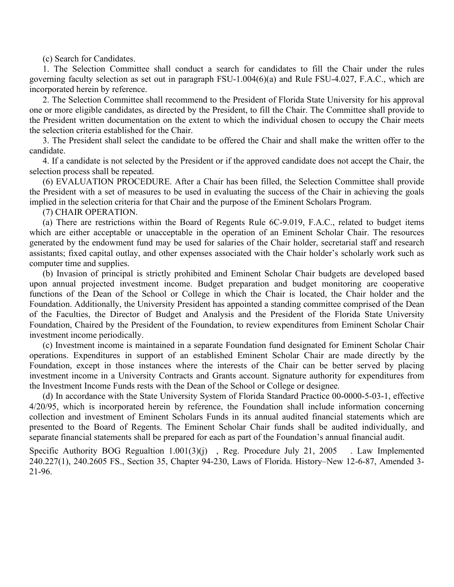(c) Search for Candidates.

1. The Selection Committee shall conduct a search for candidates to fill the Chair under the rules governing faculty selection as set out in paragraph FSU-1.004(6)(a) and Rule FSU-4.027, F.A.C., which are incorporated herein by reference.

2. The Selection Committee shall recommend to the President of Florida State University for his approval one or more eligible candidates, as directed by the President, to fill the Chair. The Committee shall provide to the President written documentation on the extent to which the individual chosen to occupy the Chair meets the selection criteria established for the Chair.

3. The President shall select the candidate to be offered the Chair and shall make the written offer to the candidate.

4. If a candidate is not selected by the President or if the approved candidate does not accept the Chair, the selection process shall be repeated.

(6) EVALUATION PROCEDURE. After a Chair has been filled, the Selection Committee shall provide the President with a set of measures to be used in evaluating the success of the Chair in achieving the goals implied in the selection criteria for that Chair and the purpose of the Eminent Scholars Program.

(7) CHAIR OPERATION.

(a) There are restrictions within the Board of Regents Rule 6C-9.019, F.A.C., related to budget items which are either acceptable or unacceptable in the operation of an Eminent Scholar Chair. The resources generated by the endowment fund may be used for salaries of the Chair holder, secretarial staff and research assistants; fixed capital outlay, and other expenses associated with the Chair holder's scholarly work such as computer time and supplies.

(b) Invasion of principal is strictly prohibited and Eminent Scholar Chair budgets are developed based upon annual projected investment income. Budget preparation and budget monitoring are cooperative functions of the Dean of the School or College in which the Chair is located, the Chair holder and the Foundation. Additionally, the University President has appointed a standing committee comprised of the Dean of the Faculties, the Director of Budget and Analysis and the President of the Florida State University Foundation, Chaired by the President of the Foundation, to review expenditures from Eminent Scholar Chair investment income periodically.

(c) Investment income is maintained in a separate Foundation fund designated for Eminent Scholar Chair operations. Expenditures in support of an established Eminent Scholar Chair are made directly by the Foundation, except in those instances where the interests of the Chair can be better served by placing investment income in a University Contracts and Grants account. Signature authority for expenditures from the Investment Income Funds rests with the Dean of the School or College or designee.

(d) In accordance with the State University System of Florida Standard Practice 00-0000-5-03-1, effective 4/20/95, which is incorporated herein by reference, the Foundation shall include information concerning collection and investment of Eminent Scholars Funds in its annual audited financial statements which are presented to the Board of Regents. The Eminent Scholar Chair funds shall be audited individually, and separate financial statements shall be prepared for each as part of the Foundation's annual financial audit.

Specific Authority BOG Regualtion 1.001(3)(j), Reg. Procedure July 21, 2005 . Law Implemented 240.227(1), 240.2605 FS., Section 35, Chapter 94-230, Laws of Florida. History–New 12-6-87, Amended 3- 21-96.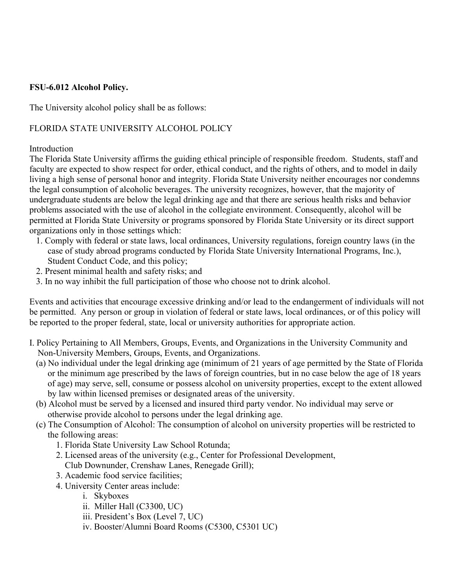# <span id="page-10-0"></span>**FSU-6.012 Alcohol Policy.**

The University alcohol policy shall be as follows:

# FLORIDA STATE UNIVERSITY ALCOHOL POLICY

# Introduction

The Florida State University affirms the guiding ethical principle of responsible freedom. Students, staff and faculty are expected to show respect for order, ethical conduct, and the rights of others, and to model in daily living a high sense of personal honor and integrity. Florida State University neither encourages nor condemns the legal consumption of alcoholic beverages. The university recognizes, however, that the majority of undergraduate students are below the legal drinking age and that there are serious health risks and behavior problems associated with the use of alcohol in the collegiate environment. Consequently, alcohol will be permitted at Florida State University or programs sponsored by Florida State University or its direct support organizations only in those settings which:

- 1. Comply with federal or state laws, local ordinances, University regulations, foreign country laws (in the case of study abroad programs conducted by Florida State University International Programs, Inc.), Student Conduct Code, and this policy;
- 2. Present minimal health and safety risks; and
- 3. In no way inhibit the full participation of those who choose not to drink alcohol.

Events and activities that encourage excessive drinking and/or lead to the endangerment of individuals will not be permitted. Any person or group in violation of federal or state laws, local ordinances, or of this policy will be reported to the proper federal, state, local or university authorities for appropriate action.

- I. Policy Pertaining to All Members, Groups, Events, and Organizations in the University Community and Non-University Members, Groups, Events, and Organizations.
	- (a) No individual under the legal drinking age (minimum of 21 years of age permitted by the State of Florida or the minimum age prescribed by the laws of foreign countries, but in no case below the age of 18 years of age) may serve, sell, consume or possess alcohol on university properties, except to the extent allowed by law within licensed premises or designated areas of the university.
	- (b) Alcohol must be served by a licensed and insured third party vendor. No individual may serve or otherwise provide alcohol to persons under the legal drinking age.
	- (c) The Consumption of Alcohol: The consumption of alcohol on university properties will be restricted to the following areas:
		- 1. Florida State University Law School Rotunda;
		- 2. Licensed areas of the university (e.g., Center for Professional Development, Club Downunder, Crenshaw Lanes, Renegade Grill);
		- 3. Academic food service facilities;
		- 4. University Center areas include:
			- i. Skyboxes
			- ii. Miller Hall (C3300, UC)
			- iii. President's Box (Level 7, UC)
			- iv. Booster/Alumni Board Rooms (C5300, C5301 UC)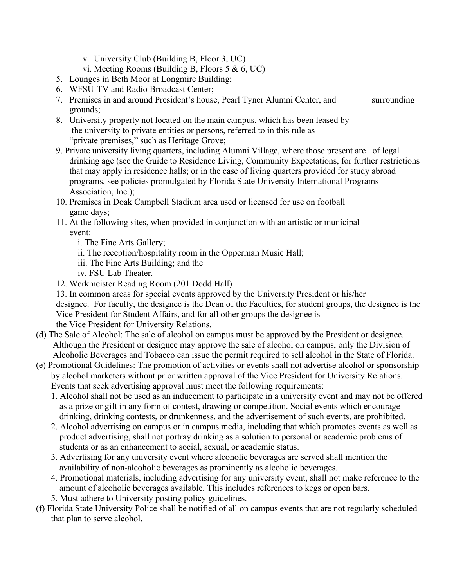- v. University Club (Building B, Floor 3, UC)
- vi. Meeting Rooms (Building B, Floors 5 & 6, UC)
- 5. Lounges in Beth Moor at Longmire Building;
- 6. WFSU-TV and Radio Broadcast Center;
- 7. Premises in and around President's house, Pearl Tyner Alumni Center, and surrounding grounds;
- 8. University property not located on the main campus, which has been leased by the university to private entities or persons, referred to in this rule as "private premises," such as Heritage Grove;
- 9. Private university living quarters, including Alumni Village, where those present are of legal drinking age (see the Guide to Residence Living, Community Expectations, for further restrictions that may apply in residence halls; or in the case of living quarters provided for study abroad programs, see policies promulgated by Florida State University International Programs Association, Inc.);
- 10. Premises in Doak Campbell Stadium area used or licensed for use on football game days;
- 11. At the following sites, when provided in conjunction with an artistic or municipal event:
	- i. The Fine Arts Gallery;
	- ii. The reception/hospitality room in the Opperman Music Hall;
	- iii. The Fine Arts Building; and the
	- iv. FSU Lab Theater.
- 12. Werkmeister Reading Room (201 Dodd Hall)

13. In common areas for special events approved by the University President or his/her designee. For faculty, the designee is the Dean of the Faculties, for student groups, the designee is the Vice President for Student Affairs, and for all other groups the designee is the Vice President for University Relations.

- (d) The Sale of Alcohol: The sale of alcohol on campus must be approved by the President or designee. Although the President or designee may approve the sale of alcohol on campus, only the Division of Alcoholic Beverages and Tobacco can issue the permit required to sell alcohol in the State of Florida.
- (e) Promotional Guidelines: The promotion of activities or events shall not advertise alcohol or sponsorship by alcohol marketers without prior written approval of the Vice President for University Relations. Events that seek advertising approval must meet the following requirements:
	- 1. Alcohol shall not be used as an inducement to participate in a university event and may not be offered as a prize or gift in any form of contest, drawing or competition. Social events which encourage drinking, drinking contests, or drunkenness, and the advertisement of such events, are prohibited.
	- 2. Alcohol advertising on campus or in campus media, including that which promotes events as well as product advertising, shall not portray drinking as a solution to personal or academic problems of students or as an enhancement to social, sexual, or academic status.
	- 3. Advertising for any university event where alcoholic beverages are served shall mention the availability of non-alcoholic beverages as prominently as alcoholic beverages.
	- 4. Promotional materials, including advertising for any university event, shall not make reference to the amount of alcoholic beverages available. This includes references to kegs or open bars.
	- 5. Must adhere to University posting policy guidelines.
- (f) Florida State University Police shall be notified of all on campus events that are not regularly scheduled that plan to serve alcohol.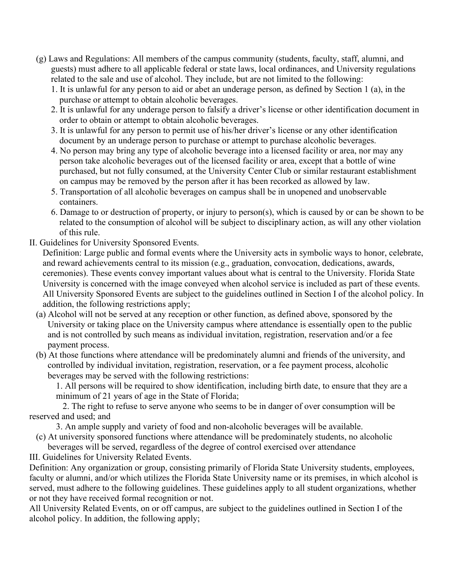- (g) Laws and Regulations: All members of the campus community (students, faculty, staff, alumni, and guests) must adhere to all applicable federal or state laws, local ordinances, and University regulations related to the sale and use of alcohol. They include, but are not limited to the following:
	- 1. It is unlawful for any person to aid or abet an underage person, as defined by Section 1 (a), in the purchase or attempt to obtain alcoholic beverages.
	- 2. It is unlawful for any underage person to falsify a driver's license or other identification document in order to obtain or attempt to obtain alcoholic beverages.
	- 3. It is unlawful for any person to permit use of his/her driver's license or any other identification document by an underage person to purchase or attempt to purchase alcoholic beverages.
	- 4. No person may bring any type of alcoholic beverage into a licensed facility or area, nor may any person take alcoholic beverages out of the licensed facility or area, except that a bottle of wine purchased, but not fully consumed, at the University Center Club or similar restaurant establishment on campus may be removed by the person after it has been recorked as allowed by law.
	- 5. Transportation of all alcoholic beverages on campus shall be in unopened and unobservable containers.
	- 6. Damage to or destruction of property, or injury to person(s), which is caused by or can be shown to be related to the consumption of alcohol will be subject to disciplinary action, as will any other violation of this rule.
- II. Guidelines for University Sponsored Events.

Definition: Large public and formal events where the University acts in symbolic ways to honor, celebrate, and reward achievements central to its mission (e.g., graduation, convocation, dedications, awards, ceremonies). These events convey important values about what is central to the University. Florida State University is concerned with the image conveyed when alcohol service is included as part of these events. All University Sponsored Events are subject to the guidelines outlined in Section I of the alcohol policy. In addition, the following restrictions apply;

- (a) Alcohol will not be served at any reception or other function, as defined above, sponsored by the University or taking place on the University campus where attendance is essentially open to the public and is not controlled by such means as individual invitation, registration, reservation and/or a fee payment process.
- (b) At those functions where attendance will be predominately alumni and friends of the university, and controlled by individual invitation, registration, reservation, or a fee payment process, alcoholic beverages may be served with the following restrictions:

1. All persons will be required to show identification, including birth date, to ensure that they are a minimum of 21 years of age in the State of Florida;

 2. The right to refuse to serve anyone who seems to be in danger of over consumption will be reserved and used; and

3. An ample supply and variety of food and non-alcoholic beverages will be available.

- (c) At university sponsored functions where attendance will be predominately students, no alcoholic beverages will be served, regardless of the degree of control exercised over attendance
- III. Guidelines for University Related Events.

Definition: Any organization or group, consisting primarily of Florida State University students, employees, faculty or alumni, and/or which utilizes the Florida State University name or its premises, in which alcohol is served, must adhere to the following guidelines. These guidelines apply to all student organizations, whether or not they have received formal recognition or not.

All University Related Events, on or off campus, are subject to the guidelines outlined in Section I of the alcohol policy. In addition, the following apply;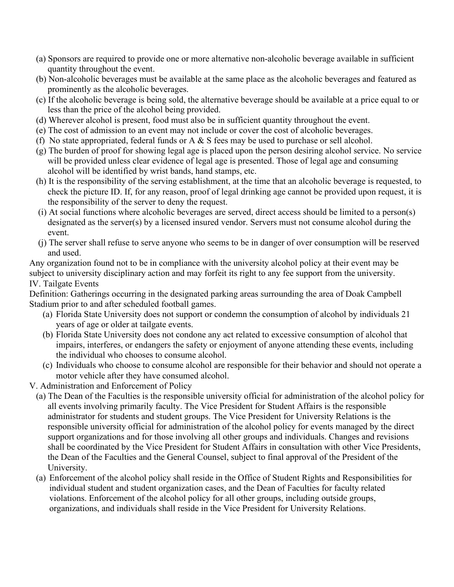- (a) Sponsors are required to provide one or more alternative non-alcoholic beverage available in sufficient quantity throughout the event.
- (b) Non-alcoholic beverages must be available at the same place as the alcoholic beverages and featured as prominently as the alcoholic beverages.
- (c) If the alcoholic beverage is being sold, the alternative beverage should be available at a price equal to or less than the price of the alcohol being provided.
- (d) Wherever alcohol is present, food must also be in sufficient quantity throughout the event.
- (e) The cost of admission to an event may not include or cover the cost of alcoholic beverages.
- (f) No state appropriated, federal funds or A  $\&$  S fees may be used to purchase or sell alcohol.
- (g) The burden of proof for showing legal age is placed upon the person desiring alcohol service. No service will be provided unless clear evidence of legal age is presented. Those of legal age and consuming alcohol will be identified by wrist bands, hand stamps, etc.
- (h) It is the responsibility of the serving establishment, at the time that an alcoholic beverage is requested, to check the picture ID. If, for any reason, proof of legal drinking age cannot be provided upon request, it is the responsibility of the server to deny the request.
- (i) At social functions where alcoholic beverages are served, direct access should be limited to a person(s) designated as the server(s) by a licensed insured vendor. Servers must not consume alcohol during the event.
- (j) The server shall refuse to serve anyone who seems to be in danger of over consumption will be reserved and used.

Any organization found not to be in compliance with the university alcohol policy at their event may be subject to university disciplinary action and may forfeit its right to any fee support from the university. IV. Tailgate Events

Definition: Gatherings occurring in the designated parking areas surrounding the area of Doak Campbell Stadium prior to and after scheduled football games.

- (a) Florida State University does not support or condemn the consumption of alcohol by individuals 21 years of age or older at tailgate events.
- (b) Florida State University does not condone any act related to excessive consumption of alcohol that impairs, interferes, or endangers the safety or enjoyment of anyone attending these events, including the individual who chooses to consume alcohol.
- (c) Individuals who choose to consume alcohol are responsible for their behavior and should not operate a motor vehicle after they have consumed alcohol.

V. Administration and Enforcement of Policy

- (a) The Dean of the Faculties is the responsible university official for administration of the alcohol policy for all events involving primarily faculty. The Vice President for Student Affairs is the responsible administrator for students and student groups. The Vice President for University Relations is the responsible university official for administration of the alcohol policy for events managed by the direct support organizations and for those involving all other groups and individuals. Changes and revisions shall be coordinated by the Vice President for Student Affairs in consultation with other Vice Presidents, the Dean of the Faculties and the General Counsel, subject to final approval of the President of the University.
- (a) Enforcement of the alcohol policy shall reside in the Office of Student Rights and Responsibilities for individual student and student organization cases, and the Dean of Faculties for faculty related violations. Enforcement of the alcohol policy for all other groups, including outside groups, organizations, and individuals shall reside in the Vice President for University Relations.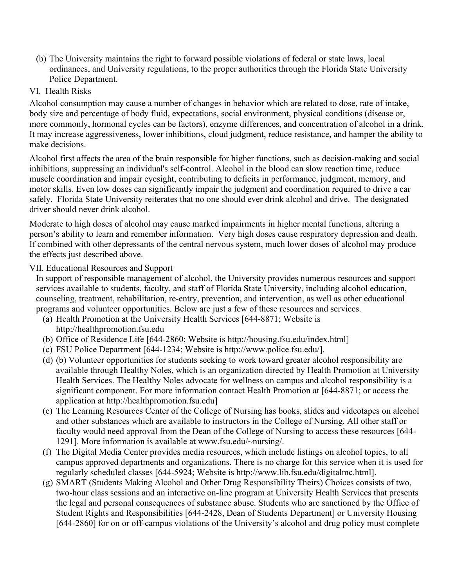- (b) The University maintains the right to forward possible violations of federal or state laws, local ordinances, and University regulations, to the proper authorities through the Florida State University Police Department.
- VI. Health Risks

Alcohol consumption may cause a number of changes in behavior which are related to dose, rate of intake, body size and percentage of body fluid, expectations, social environment, physical conditions (disease or, more commonly, hormonal cycles can be factors), enzyme differences, and concentration of alcohol in a drink. It may increase aggressiveness, lower inhibitions, cloud judgment, reduce resistance, and hamper the ability to make decisions.

Alcohol first affects the area of the brain responsible for higher functions, such as decision-making and social inhibitions, suppressing an individual's self-control. Alcohol in the blood can slow reaction time, reduce muscle coordination and impair eyesight, contributing to deficits in performance, judgment, memory, and motor skills. Even low doses can significantly impair the judgment and coordination required to drive a car safely. Florida State University reiterates that no one should ever drink alcohol and drive. The designated driver should never drink alcohol.

Moderate to high doses of alcohol may cause marked impairments in higher mental functions, altering a person's ability to learn and remember information. Very high doses cause respiratory depression and death. If combined with other depressants of the central nervous system, much lower doses of alcohol may produce the effects just described above.

# VII. Educational Resources and Support

In support of responsible management of alcohol, the University provides numerous resources and support services available to students, faculty, and staff of Florida State University, including alcohol education, counseling, treatment, rehabilitation, re-entry, prevention, and intervention, as well as other educational programs and volunteer opportunities. Below are just a few of these resources and services.

- (a) Health Promotion at the University Health Services [644-8871; Website is http://healthpromotion.fsu.edu
- (b) Office of Residence Life [644-2860; Website is http://housing.fsu.edu/index.html]
- (c) FSU Police Department [644-1234; Website is http://www.police.fsu.edu/].
- (d) (b) Volunteer opportunities for students seeking to work toward greater alcohol responsibility are available through Healthy Noles, which is an organization directed by Health Promotion at University Health Services. The Healthy Noles advocate for wellness on campus and alcohol responsibility is a significant component. For more information contact Health Promotion at [644-8871; or access the application at http://healthpromotion.fsu.edu]
- (e) The Learning Resources Center of the College of Nursing has books, slides and videotapes on alcohol and other substances which are available to instructors in the College of Nursing. All other staff or faculty would need approval from the Dean of the College of Nursing to access these resources [644- 1291]. More information is available at www.fsu.edu/~nursing/.
- (f) The Digital Media Center provides media resources, which include listings on alcohol topics, to all campus approved departments and organizations. There is no charge for this service when it is used for regularly scheduled classes [644-5924; Website is http://www.lib.fsu.edu/digitalmc.html].
- (g) SMART (Students Making Alcohol and Other Drug Responsibility Theirs) Choices consists of two, two-hour class sessions and an interactive on-line program at University Health Services that presents the legal and personal consequences of substance abuse. Students who are sanctioned by the Office of Student Rights and Responsibilities [644-2428, Dean of Students Department] or University Housing [644-2860] for on or off-campus violations of the University's alcohol and drug policy must complete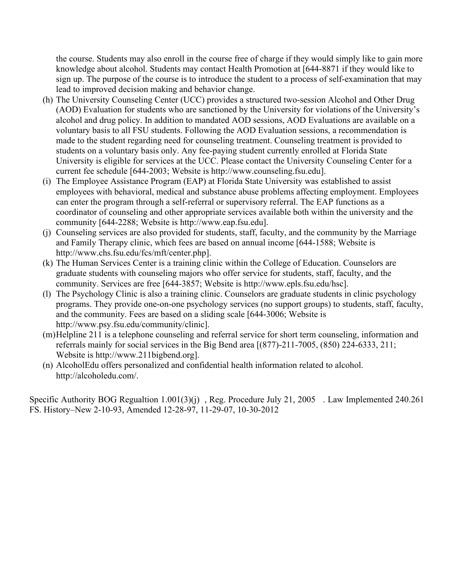the course. Students may also enroll in the course free of charge if they would simply like to gain more knowledge about alcohol. Students may contact Health Promotion at [644-8871 if they would like to sign up. The purpose of the course is to introduce the student to a process of self-examination that may lead to improved decision making and behavior change.

- (h) The University Counseling Center (UCC) provides a structured two-session Alcohol and Other Drug (AOD) Evaluation for students who are sanctioned by the University for violations of the University's alcohol and drug policy. In addition to mandated AOD sessions, AOD Evaluations are available on a voluntary basis to all FSU students. Following the AOD Evaluation sessions, a recommendation is made to the student regarding need for counseling treatment. Counseling treatment is provided to students on a voluntary basis only. Any fee-paying student currently enrolled at Florida State University is eligible for services at the UCC. Please contact the University Counseling Center for a current fee schedule [644-2003; Website is http://www.counseling.fsu.edu].
- (i) The Employee Assistance Program (EAP) at Florida State University was established to assist employees with behavioral, medical and substance abuse problems affecting employment. Employees can enter the program through a self-referral or supervisory referral. The EAP functions as a coordinator of counseling and other appropriate services available both within the university and the community [644-2288; Website is http://www.eap.fsu.edu].
- (j) Counseling services are also provided for students, staff, faculty, and the community by the Marriage and Family Therapy clinic, which fees are based on annual income [644-1588; Website is http://www.chs.fsu.edu/fcs/mft/center.php].
- (k) The Human Services Center is a training clinic within the College of Education. Counselors are graduate students with counseling majors who offer service for students, staff, faculty, and the community. Services are free [644-3857; Website is http://www.epls.fsu.edu/hsc].
- (l) The Psychology Clinic is also a training clinic. Counselors are graduate students in clinic psychology programs. They provide one-on-one psychology services (no support groups) to students, staff, faculty, and the community. Fees are based on a sliding scale [644-3006; Website is http://www.psy.fsu.edu/community/clinic].
- (m)Helpline 211 is a telephone counseling and referral service for short term counseling, information and referrals mainly for social services in the Big Bend area [(877)-211-7005, (850) 224-6333, 211; Website is http://www.211bigbend.org].
- (n) AlcoholEdu offers personalized and confidential health information related to alcohol. http://alcoholedu.com/.

Specific Authority BOG Regualtion 1.001(3)(j) , Reg. Procedure July 21, 2005 . Law Implemented 240.261 FS. History–New 2-10-93, Amended 12-28-97, 11-29-07, 10-30-2012